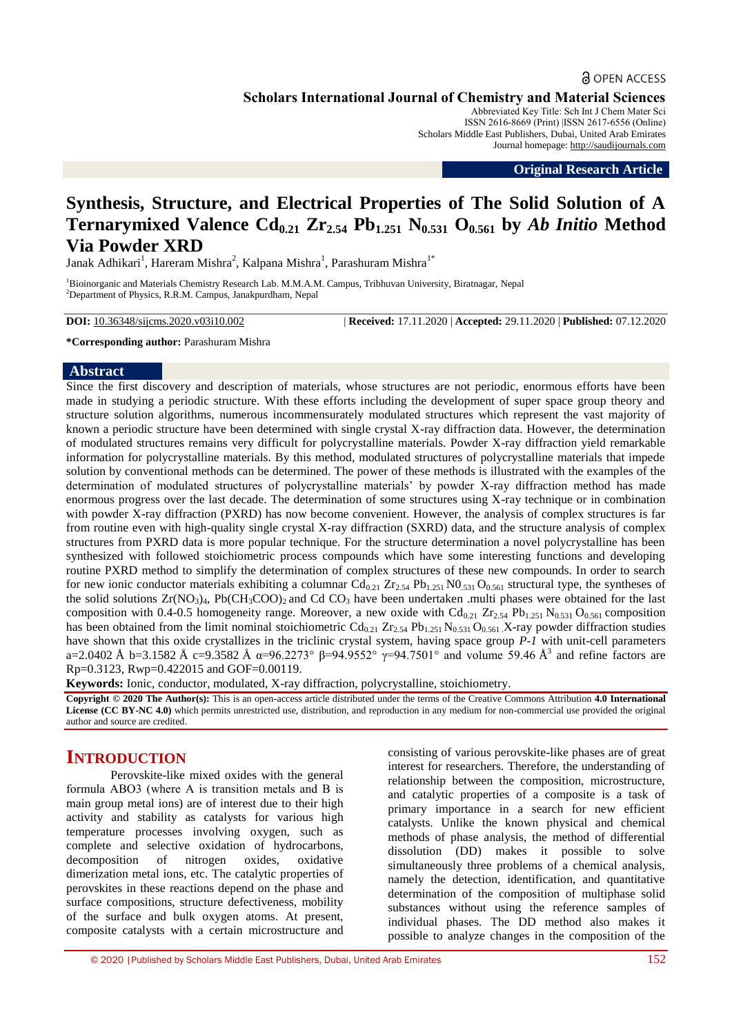## **a** OPEN ACCESS

**Scholars International Journal of Chemistry and Material Sciences**

Abbreviated Key Title: Sch Int J Chem Mater Sci ISSN 2616-8669 (Print) |ISSN 2617-6556 (Online) Scholars Middle East Publishers, Dubai, United Arab Emirates Journal homepage: [http://saudijournals.com](http://saudijournals.com/sijcms/)

**Original Research Article**

# **Synthesis, Structure, and Electrical Properties of The Solid Solution of A Ternarymixed Valence Cd0.21 Zr2.54 Pb1.251 N0.531 O0.561 by** *Ab Initio* **Method Via Powder XRD**

Janak Adhikari $^1$ , Hareram Mishra $^2$ , Kalpana Mishra $^1$ , Parashuram Mishra $^{1*}$ 

<sup>1</sup>Bioinorganic and Materials Chemistry Research Lab. M.M.A.M. Campus, Tribhuvan University, Biratnagar, Nepal <sup>2</sup>Department of Physics, R.R.M. Campus, Janakpurdham, Nepal

**DOI:** 10.36348/sijcms.2020.v03i10.002 | **Received:** 17.11.2020 | **Accepted:** 29.11.2020 | **Published:** 07.12.2020

**\*Corresponding author:** Parashuram Mishra

#### **Abstract**

Since the first discovery and description of materials, whose structures are not periodic, enormous efforts have been made in studying a periodic structure. With these efforts including the development of super space group theory and structure solution algorithms, numerous incommensurately modulated structures which represent the vast majority of known a periodic structure have been determined with single crystal X-ray diffraction data. However, the determination of modulated structures remains very difficult for polycrystalline materials. Powder X-ray diffraction yield remarkable information for polycrystalline materials. By this method, modulated structures of polycrystalline materials that impede solution by conventional methods can be determined. The power of these methods is illustrated with the examples of the determination of modulated structures of polycrystalline materials' by powder X-ray diffraction method has made enormous progress over the last decade. The determination of some structures using X-ray technique or in combination with powder X-ray diffraction (PXRD) has now become convenient. However, the analysis of complex structures is far from routine even with high-quality single crystal X-ray diffraction (SXRD) data, and the structure analysis of complex structures from PXRD data is more popular technique. For the structure determination a novel polycrystalline has been synthesized with followed stoichiometric process compounds which have some interesting functions and developing routine PXRD method to simplify the determination of complex structures of these new compounds. In order to search for new ionic conductor materials exhibiting a columnar  $Cd_{0.21}Z_{2.54}Pb_{1.251}N0_{.531}O_{0.561}$  structural type, the syntheses of the solid solutions  $Zr(NO_3)_4$ , Pb(CH<sub>3</sub>COO)<sub>2</sub> and Cd CO<sub>3</sub> have been undertaken .multi phases were obtained for the last composition with 0.4-0.5 homogeneity range. Moreover, a new oxide with  $Cd_{0.21} Zr_{2.54} Pb_{1.251} N_{0.531} O_{0.561}$  composition has been obtained from the limit nominal stoichiometric  $Cd_{0.21}Zr_{2.54}Pb_{1.251}N_{0.531}O_{0.561}X$ -ray powder diffraction studies have shown that this oxide crystallizes in the triclinic crystal system, having space group *P-1* with unit-cell parameters a=2.0402 Å b=3.1582 Å c=9.3582 Å α=96.2273° β=94.9552° γ=94.7501° and volume 59.46 Å<sup>3</sup> and refine factors are Rp=0.3123, Rwp=0.422015 and GOF=0.00119.

**Keywords:** Ionic, conductor, modulated, X-ray diffraction, polycrystalline, stoichiometry.

**Copyright © 2020 The Author(s):** This is an open-access article distributed under the terms of the Creative Commons Attribution **4.0 International License (CC BY-NC 4.0)** which permits unrestricted use, distribution, and reproduction in any medium for non-commercial use provided the original author and source are credited.

## **INTRODUCTION**

Perovskite-like mixed oxides with the general formula ABO3 (where А is transition metals and B is main group metal ions) are of interest due to their high activity and stability as catalysts for various high temperature processes involving oxygen, such as complete and selective oxidation of hydrocarbons, decomposition of nitrogen oxides, oxidative dimerization metal ions, etc. The catalytic properties of perovskites in these reactions depend on the phase and surface compositions, structure defectiveness, mobility of the surface and bulk oxygen atoms. At present, composite catalysts with a certain microstructure and

consisting of various perovskite-like phases are of great interest for researchers. Therefore, the understanding of relationship between the composition, microstructure, and catalytic properties of a composite is a task of primary importance in a search for new efficient catalysts. Unlike the known physical and chemical methods of phase analysis, the method of differential dissolution (DD) makes it possible to solve simultaneously three problems of a chemical analysis, namely the detection, identification, and quantitative determination of the composition of multiphase solid substances without using the reference samples of individual phases. The DD method also makes it possible to analyze changes in the composition of the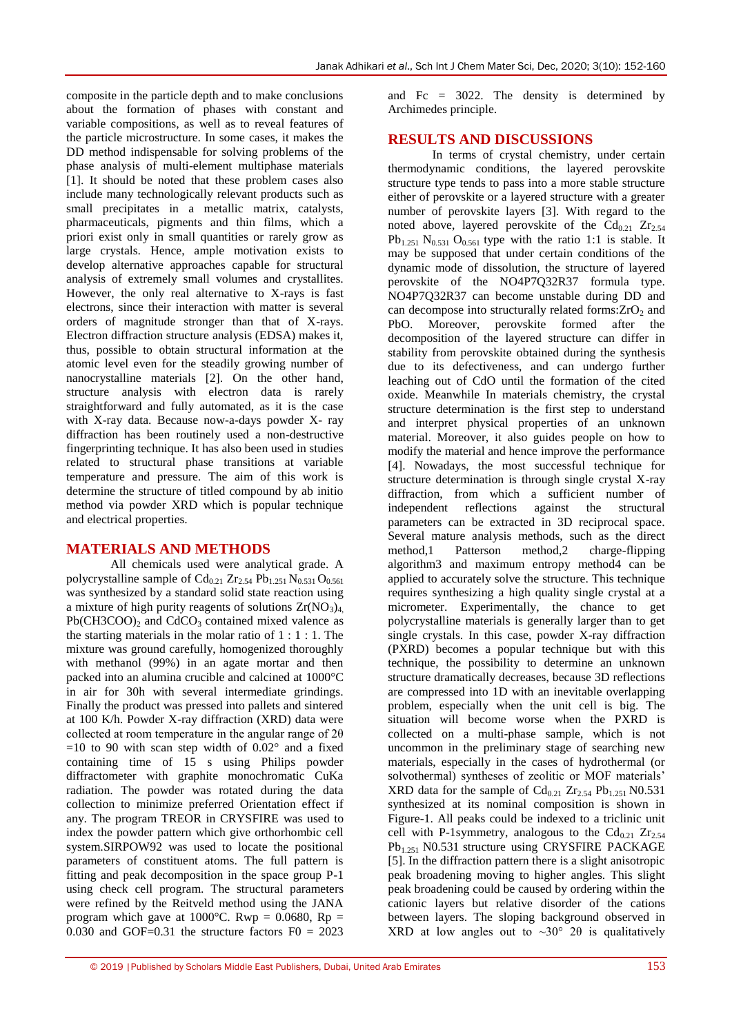composite in the particle depth and to make conclusions about the formation of phases with constant and variable compositions, as well as to reveal features of the particle microstructure. In some cases, it makes the DD method indispensable for solving problems of the phase analysis of multi-element multiphase materials [1]. It should be noted that these problem cases also include many technologically relevant products such as small precipitates in a metallic matrix, catalysts, pharmaceuticals, pigments and thin films, which a priori exist only in small quantities or rarely grow as large crystals. Hence, ample motivation exists to develop alternative approaches capable for structural analysis of extremely small volumes and crystallites. However, the only real alternative to X-rays is fast electrons, since their interaction with matter is several orders of magnitude stronger than that of X-rays. Electron diffraction structure analysis (EDSA) makes it, thus, possible to obtain structural information at the atomic level even for the steadily growing number of nanocrystalline materials [2]. On the other hand, structure analysis with electron data is rarely straightforward and fully automated, as it is the case with X-ray data. Because now-a-days powder X- ray diffraction has been routinely used a non-destructive fingerprinting technique. It has also been used in studies related to structural phase transitions at variable temperature and pressure. The aim of this work is determine the structure of titled compound by ab initio method via powder XRD which is popular technique and electrical properties.

## **MATERIALS AND METHODS**

All chemicals used were analytical grade. A polycrystalline sample of  $Cd_{0.21} Zr_{2.54} Pb_{1.251} N_{0.531} O_{0.561}$ was synthesized by a standard solid state reaction using a mixture of high purity reagents of solutions  $Zr(NO<sub>3</sub>)<sub>4</sub>$  $Pb(CH3COO)$ <sub>2</sub> and CdCO<sub>3</sub> contained mixed valence as the starting materials in the molar ratio of 1 : 1 : 1. The mixture was ground carefully, homogenized thoroughly with methanol (99%) in an agate mortar and then packed into an alumina crucible and calcined at 1000°C in air for 30h with several intermediate grindings. Finally the product was pressed into pallets and sintered at 100 K/h. Powder X-ray diffraction (XRD) data were collected at room temperature in the angular range of 2θ  $=10$  to 90 with scan step width of 0.02 $^{\circ}$  and a fixed containing time of 15 s using Philips powder diffractometer with graphite monochromatic CuKa radiation. The powder was rotated during the data collection to minimize preferred Orientation effect if any. The program TREOR in CRYSFIRE was used to index the powder pattern which give orthorhombic cell system.SIRPOW92 was used to locate the positional parameters of constituent atoms. The full pattern is fitting and peak decomposition in the space group P-1 using check cell program. The structural parameters were refined by the Reitveld method using the JANA program which gave at  $1000^{\circ}$ C. Rwp = 0.0680, Rp = 0.030 and GOF=0.31 the structure factors  $F0 = 2023$ 

and Fc = 3022. The density is determined by Archimedes principle.

## **RESULTS AND DISCUSSIONS**

In terms of crystal chemistry, under certain thermodynamic conditions, the layered perovskite structure type tends to pass into a more stable structure either of perovskite or a layered structure with a greater number of perovskite layers [3]. With regard to the noted above, layered perovskite of the  $Cd_{0.21}Zr_{2.54}$  $Pb_{1.251}$  N<sub>0.531</sub> O<sub>0.561</sub> type with the ratio 1:1 is stable. It may be supposed that under certain conditions of the dynamic mode of dissolution, the structure of layered perovskite of the NO4P7Q32R37 formula type. NO4P7Q32R37 can become unstable during DD and can decompose into structurally related forms: $ZrO<sub>2</sub>$  and PbO. Moreover, perovskite formed after the decomposition of the layered structure can differ in stability from perovskite obtained during the synthesis due to its defectiveness, and can undergo further leaching out of CdO until the formation of the cited oxide. Meanwhile In materials chemistry, the crystal structure determination is the first step to understand and interpret physical properties of an unknown material. Moreover, it also guides people on how to modify the material and hence improve the performance [4]. Nowadays, the most successful technique for structure determination is through single crystal X-ray diffraction, from which a sufficient number of independent reflections against the structural parameters can be extracted in 3D reciprocal space. Several mature analysis methods, such as the direct method,1 Patterson method,2 charge-flipping algorithm3 and maximum entropy method4 can be applied to accurately solve the structure. This technique requires synthesizing a high quality single crystal at a micrometer. Experimentally, the chance to get polycrystalline materials is generally larger than to get single crystals. In this case, powder X-ray diffraction (PXRD) becomes a popular technique but with this technique, the possibility to determine an unknown structure dramatically decreases, because 3D reflections are compressed into 1D with an inevitable overlapping problem, especially when the unit cell is big. The situation will become worse when the PXRD is collected on a multi-phase sample, which is not uncommon in the preliminary stage of searching new materials, especially in the cases of hydrothermal (or solvothermal) syntheses of zeolitic or MOF materials' XRD data for the sample of  $Cd_{0.21}Zr_{2.54}Pb_{1.251}N0.531$ synthesized at its nominal composition is shown in Figure-1. All peaks could be indexed to a triclinic unit cell with P-1symmetry, analogous to the  $Cd_{0.21}Zr_{2.54}$ Pb<sub>1.251</sub> N0.531 structure using CRYSFIRE PACKAGE [5]. In the diffraction pattern there is a slight anisotropic peak broadening moving to higher angles. This slight peak broadening could be caused by ordering within the cationic layers but relative disorder of the cations between layers. The sloping background observed in XRD at low angles out to  $\sim 30^{\circ}$  20 is qualitatively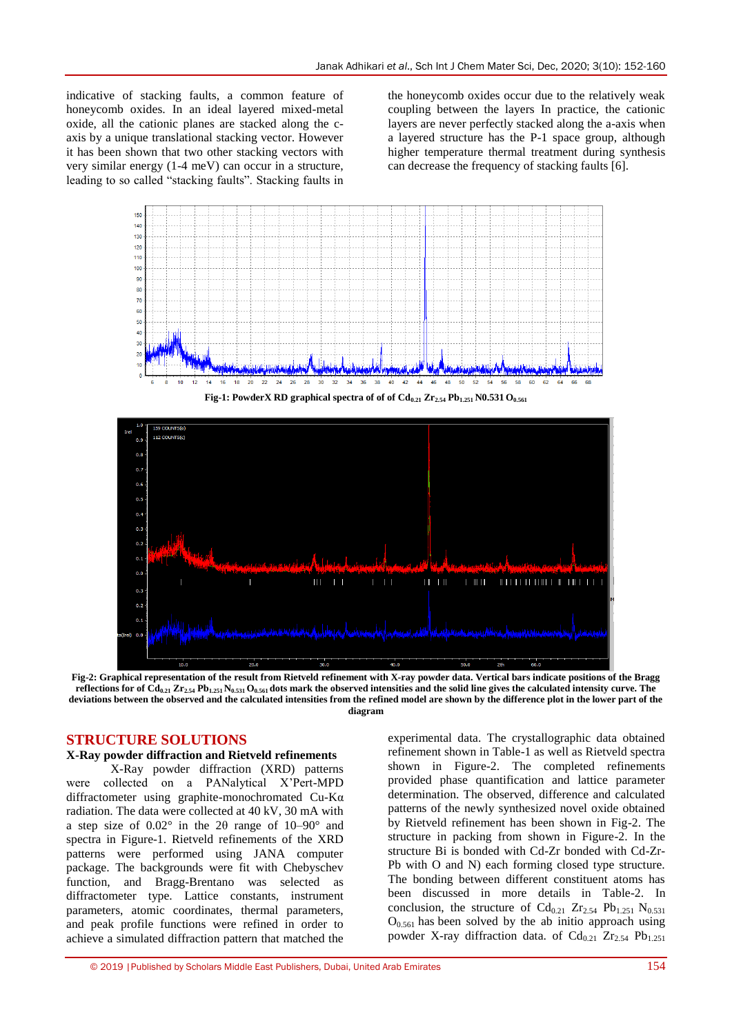indicative of stacking faults, a common feature of honeycomb oxides. In an ideal layered mixed-metal oxide, all the cationic planes are stacked along the caxis by a unique translational stacking vector. However it has been shown that two other stacking vectors with very similar energy (1-4 meV) can occur in a structure, leading to so called "stacking faults". Stacking faults in

the honeycomb oxides occur due to the relatively weak coupling between the layers In practice, the cationic layers are never perfectly stacked along the a-axis when a layered structure has the P-1 space group, although higher temperature thermal treatment during synthesis can decrease the frequency of stacking faults [6].







**Fig-2: Graphical representation of the result from Rietveld refinement with X-ray powder data. Vertical bars indicate positions of the Bragg**  reflections for of  $Cd_{0.21}Zr_{2.54}Pb_{1.251}N_{0.531}O_{0.561}$  dots mark the observed intensities and the solid line gives the calculated intensity curve. The **deviations between the observed and the calculated intensities from the refined model are shown by the difference plot in the lower part of the diagram**

#### **STRUCTURE SOLUTIONS**

#### **X-Ray powder diffraction and Rietveld refinements**

X-Ray powder diffraction (XRD) patterns were collected on a PANalytical X'Pert-MPD diffractometer using graphite-monochromated Cu-Kα radiation. The data were collected at 40 kV, 30 mA with a step size of 0.02° in the 2θ range of 10–90° and spectra in Figure-1. Rietveld refinements of the XRD patterns were performed using JANA computer package. The backgrounds were fit with Chebyschev function, and Bragg-Brentano was selected as diffractometer type. Lattice constants, instrument parameters, atomic coordinates, thermal parameters, and peak profile functions were refined in order to achieve a simulated diffraction pattern that matched the

experimental data. The crystallographic data obtained refinement shown in Table-1 as well as Rietveld spectra shown in Figure-2. The completed refinements provided phase quantification and lattice parameter determination. The observed, difference and calculated patterns of the newly synthesized novel oxide obtained by Rietveld refinement has been shown in Fig-2. The structure in packing from shown in Figure-2. In the structure Bi is bonded with Cd-Zr bonded with Cd-Zr-Pb with O and N) each forming closed type structure. The bonding between different constituent atoms has been discussed in more details in Table-2. In conclusion, the structure of  $Cd_{0.21}$   $Zr_{2.54}$   $Pb_{1.251}$   $N_{0.531}$  $O_{0.561}$  has been solved by the ab initio approach using powder X-ray diffraction data. of  $Cd_{0.21}Zr_{2.54}Pb_{1.251}$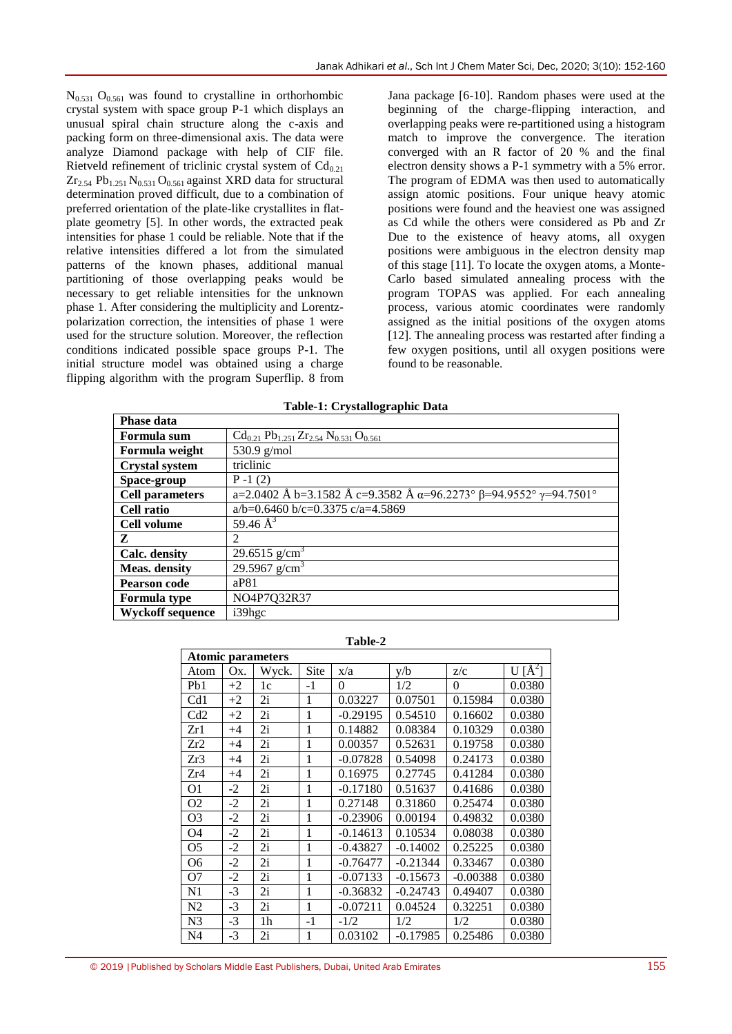$N_{0.531}$  O<sub>0.561</sub> was found to crystalline in orthorhombic crystal system with space group P-1 which displays an unusual spiral chain structure along the c-axis and packing form on three-dimensional axis. The data were analyze Diamond package with help of CIF file. Rietveld refinement of triclinic crystal system of  $Cd_{0.21}$  $Zr_{2.54}$  Pb<sub>1.251</sub> N<sub>0.531</sub> O<sub>0.561</sub> against XRD data for structural determination proved difficult, due to a combination of preferred orientation of the plate-like crystallites in flatplate geometry [5]. In other words, the extracted peak intensities for phase 1 could be reliable. Note that if the relative intensities differed a lot from the simulated patterns of the known phases, additional manual partitioning of those overlapping peaks would be necessary to get reliable intensities for the unknown phase 1. After considering the multiplicity and Lorentzpolarization correction, the intensities of phase 1 were used for the structure solution. Moreover, the reflection conditions indicated possible space groups P-1. The initial structure model was obtained using a charge flipping algorithm with the program Superflip. 8 from

Jana package [6-10]. Random phases were used at the beginning of the charge-flipping interaction, and overlapping peaks were re-partitioned using a histogram match to improve the convergence. The iteration converged with an R factor of 20 % and the final electron density shows a P-1 symmetry with a 5% error. The program of EDMA was then used to automatically assign atomic positions. Four unique heavy atomic positions were found and the heaviest one was assigned as Cd while the others were considered as Pb and Zr Due to the existence of heavy atoms, all oxygen positions were ambiguous in the electron density map of this stage [11]. To locate the oxygen atoms, a Monte-Carlo based simulated annealing process with the program TOPAS was applied. For each annealing process, various atomic coordinates were randomly assigned as the initial positions of the oxygen atoms [12]. The annealing process was restarted after finding a few oxygen positions, until all oxygen positions were found to be reasonable.

| <b>Phase data</b>       |                                                                                                     |
|-------------------------|-----------------------------------------------------------------------------------------------------|
| Formula sum             | $Cd_{0.21}Pb_{1.251}Zr_{2.54}N_{0.531}O_{0.561}$                                                    |
| Formula weight          | 530.9 g/mol                                                                                         |
| <b>Crystal system</b>   | triclinic                                                                                           |
| Space-group             | $P - 1(2)$                                                                                          |
| <b>Cell parameters</b>  | a=2.0402 Å b=3.1582 Å c=9.3582 Å $\overline{\alpha}$ =96.2273° $\beta$ =94.9552° $\gamma$ =94.7501° |
| <b>Cell ratio</b>       | a/b=0.6460 b/c=0.3375 c/a=4.5869                                                                    |
| Cell volume             | 59.46 $A^3$                                                                                         |
| Z                       | $\mathcal{L}$                                                                                       |
| Calc. density           | 29.6515 $g/cm3$                                                                                     |
| <b>Meas.</b> density    | 29.5967 $g/cm3$                                                                                     |
| <b>Pearson code</b>     | aP81                                                                                                |
| <b>Formula type</b>     | NO4P7Q32R37                                                                                         |
| <b>Wyckoff sequence</b> | i39hgc                                                                                              |

**Table-1: Crystallographic Data**

| muia weight    | $JJU.7 \not\in \text{HIII}$                                                    |
|----------------|--------------------------------------------------------------------------------|
| stal system    | triclinic                                                                      |
| ce-group       | $P-1(2)$                                                                       |
| l parameters   | a=2.0402 Å b=3.1582 Å c=9.3582 Å a=96.2273° $\beta$ =94.9552° $\gamma$ =94.750 |
| l ratio        | $a/b=0.6460 b/c=0.3375 c/a=4.5869$                                             |
| l volume       | 59.46 $A^3$                                                                    |
|                | 2                                                                              |
| c. density     | 29.6515 $g/cm3$                                                                |
| as. density    | 29.5967 $g/cm^3$                                                               |
| rson code      | aP81                                                                           |
| mula type      | NO4P7Q32R37                                                                    |
| ckoff sequence | i39hgc                                                                         |
|                |                                                                                |
|                | Toble-2                                                                        |

| <b>Atomic parameters</b> |      |       |      |            |            |            |                 |
|--------------------------|------|-------|------|------------|------------|------------|-----------------|
| Atom                     | Ox.  | Wyck. | Site | x/a        | y/b        | Z/c        | U $\rm [\AA^2]$ |
| Pb1                      | $+2$ | 1c    | $-1$ | $\theta$   | 1/2        | $\theta$   | 0.0380          |
| Cd1                      | $+2$ | 2i    | 1    | 0.03227    | 0.07501    | 0.15984    | 0.0380          |
| Cd2                      | $+2$ | 2i    | 1    | $-0.29195$ | 0.54510    | 0.16602    | 0.0380          |
| Zr1                      | $+4$ | 2i    | 1    | 0.14882    | 0.08384    | 0.10329    | 0.0380          |
| Zr2                      | $+4$ | 2i    | 1    | 0.00357    | 0.52631    | 0.19758    | 0.0380          |
| Zr3                      | $+4$ | 2i    | 1    | $-0.07828$ | 0.54098    | 0.24173    | 0.0380          |
| Zr4                      | $+4$ | 2i    | 1    | 0.16975    | 0.27745    | 0.41284    | 0.0380          |
| O1                       | $-2$ | 2i    | 1    | $-0.17180$ | 0.51637    | 0.41686    | 0.0380          |
| O <sub>2</sub>           | $-2$ | 2i    | 1    | 0.27148    | 0.31860    | 0.25474    | 0.0380          |
| O <sub>3</sub>           | $-2$ | 2i    | 1    | $-0.23906$ | 0.00194    | 0.49832    | 0.0380          |
| O4                       | $-2$ | 2i    | 1    | $-0.14613$ | 0.10534    | 0.08038    | 0.0380          |
| O <sub>5</sub>           | $-2$ | 2i    | 1    | $-0.43827$ | $-0.14002$ | 0.25225    | 0.0380          |
| O <sub>6</sub>           | $-2$ | 2i    | 1    | $-0.76477$ | $-0.21344$ | 0.33467    | 0.0380          |
| O7                       | $-2$ | 2i    | 1    | $-0.07133$ | $-0.15673$ | $-0.00388$ | 0.0380          |
| N1                       | $-3$ | 2i    | 1    | $-0.36832$ | $-0.24743$ | 0.49407    | 0.0380          |
| N <sub>2</sub>           | $-3$ | 2i    | 1    | $-0.07211$ | 0.04524    | 0.32251    | 0.0380          |
| N <sub>3</sub>           | $-3$ | 1h    | $-1$ | $-1/2$     | 1/2        | 1/2        | 0.0380          |
| N <sub>4</sub>           | $-3$ | 2i    | 1    | 0.03102    | $-0.17985$ | 0.25486    | 0.0380          |

#### **Table-2**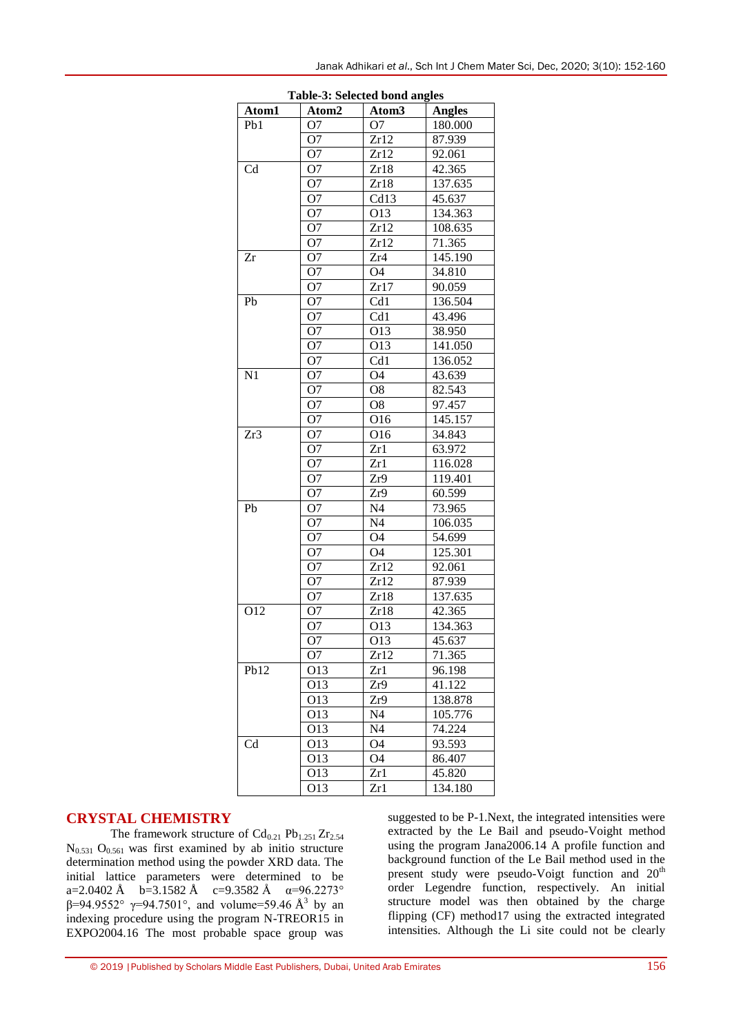| Table-5: Selected bond angles |                 |                          |                      |  |  |  |
|-------------------------------|-----------------|--------------------------|----------------------|--|--|--|
| Atom1                         | Atom2           | Atom <sub>3</sub>        | <b>Angles</b>        |  |  |  |
| Pb1                           | O <sub>7</sub>  | O <sub>7</sub>           | 180.000              |  |  |  |
|                               | O <sub>7</sub>  | $\overline{Zr12}$        | 87.939               |  |  |  |
|                               | O <sub>7</sub>  | $Zr\overline{12}$        | 92.061               |  |  |  |
| $\overline{\text{Cd}}$        | O <sub>7</sub>  | Zr18                     | 42.365               |  |  |  |
|                               | O <sub>7</sub>  | Zr18                     | $137.\overline{635}$ |  |  |  |
|                               | O <sub>7</sub>  | $\overline{\text{Cd}13}$ | 45.637               |  |  |  |
|                               | O <sub>7</sub>  | O13                      | 134.363              |  |  |  |
|                               | O <sub>7</sub>  | Zr12                     | 108.635              |  |  |  |
|                               | O <sub>7</sub>  | Zr12                     | 71.365               |  |  |  |
| Zr                            | $\overline{O7}$ | Zr4                      | 145.190              |  |  |  |
|                               | $\overline{O7}$ | O <sub>4</sub>           | 34.810               |  |  |  |
|                               | O <sub>7</sub>  | Zr17                     | 90.059               |  |  |  |
| $\overline{Pb}$               | O <sub>7</sub>  | Cd1                      | 136.504              |  |  |  |
|                               | O <sub>7</sub>  | $\overline{\text{Cd}1}$  | 43.496               |  |  |  |
|                               | O <sub>7</sub>  | O13                      | 38.950               |  |  |  |
|                               | O <sub>7</sub>  | $\overline{O13}$         | 141.050              |  |  |  |
|                               | O <sub>7</sub>  | $\overline{\text{Cd}1}$  | 136.052              |  |  |  |
| $\overline{N1}$               | O <sub>7</sub>  | O <sub>4</sub>           | 43.639               |  |  |  |
|                               | O <sub>7</sub>  | O <sub>8</sub>           | 82.543               |  |  |  |
|                               | O <sub>7</sub>  | O <sub>8</sub>           | 97.457               |  |  |  |
|                               | O <sub>7</sub>  | O16                      | 145.157              |  |  |  |
| Zr3                           | O <sub>7</sub>  | O16                      | 34.843               |  |  |  |
|                               | O <sub>7</sub>  | Zr1                      | 63.972               |  |  |  |
|                               | O <sub>7</sub>  | Zr1                      | 116.028              |  |  |  |
|                               | O <sub>7</sub>  | Zr9                      | 119.401              |  |  |  |
|                               | O <sub>7</sub>  | Zr9                      | 60.599               |  |  |  |
| Pb                            | O <sub>7</sub>  | N <sub>4</sub>           | 73.965               |  |  |  |
|                               | O <sub>7</sub>  | N <sub>4</sub>           | 106.035              |  |  |  |
|                               | O <sub>7</sub>  | O <sub>4</sub>           | 54.699               |  |  |  |
|                               | O <sub>7</sub>  | O <sub>4</sub>           | 125.301              |  |  |  |
|                               | O <sub>7</sub>  | Zr12                     | 92.061               |  |  |  |
|                               | O <sub>7</sub>  | Zr12                     | 87.939               |  |  |  |
|                               | O <sub>7</sub>  | Zr18                     | 137.635              |  |  |  |
| O <sub>12</sub>               | O <sub>7</sub>  | Zr18                     | 42.365               |  |  |  |
|                               | O <sub>7</sub>  | O13                      | 134.363              |  |  |  |
|                               | O <sub>7</sub>  | O13                      | 45.637               |  |  |  |
|                               | O <sub>7</sub>  | Zr12                     | 71.365               |  |  |  |
| Pb12                          | O13             | Zr1                      | 96.198               |  |  |  |
|                               | O13             | Zr9                      | 41.122               |  |  |  |
|                               | O13             | Zr9                      | 138.878              |  |  |  |
|                               | O13             | N <sub>4</sub>           | 105.776              |  |  |  |
|                               | O13             | N <sub>4</sub>           | 74.224               |  |  |  |
| Cd                            | O13             | O4                       | 93.593               |  |  |  |
|                               | O13             | O4                       | 86.407               |  |  |  |
|                               | O13             | Zr1                      | 45.820               |  |  |  |
|                               | O13             | Zr1                      | 134.180              |  |  |  |
|                               |                 |                          |                      |  |  |  |

**Table-3: Selected bond angles**

### **CRYSTAL CHEMISTRY**

The framework structure of  $Cd_{0.21}$  Pb<sub>1.251</sub> Zr<sub>2.54</sub>  $N_{0.531}$  O<sub>0.561</sub> was first examined by ab initio structure determination method using the powder XRD data. The initial lattice parameters were determined to be a=2.0402 Å b=3.1582 Å c=9.3582 Å  $\alpha$ =96.2273° β=94.9552°  $\gamma$ =94.7501°, and volume=59.46 Å<sup>3</sup> by an indexing procedure using the program N-TREOR15 in EXPO2004.16 The most probable space group was

suggested to be P-1.Next, the integrated intensities were extracted by the Le Bail and pseudo-Voight method using the program Jana2006.14 A profile function and background function of the Le Bail method used in the present study were pseudo-Voigt function and 20<sup>th</sup> order Legendre function, respectively. An initial structure model was then obtained by the charge flipping (CF) method17 using the extracted integrated intensities. Although the Li site could not be clearly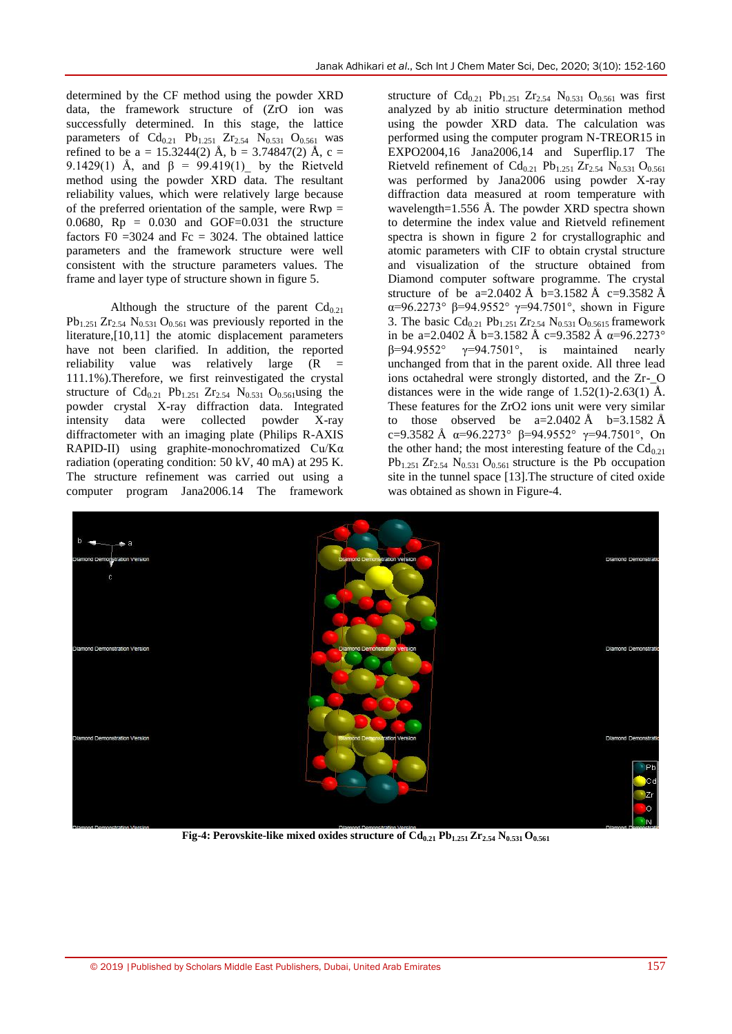determined by the CF method using the powder XRD data, the framework structure of (ZrO ion was successfully determined. In this stage, the lattice parameters of  $Cd_{0.21}$  Pb<sub>1.251</sub>  $Zr_{2.54}$  N<sub>0.531</sub> O<sub>0.561</sub> was refined to be a = 15.3244(2) Å, b = 3.74847(2) Å, c = 9.1429(1) Å, and  $β = 99.419(1)$  by the Rietveld method using the powder XRD data. The resultant reliability values, which were relatively large because of the preferred orientation of the sample, were  $Rwp =$ 0.0680,  $Rp = 0.030$  and  $GOF=0.031$  the structure factors F0 = 3024 and Fc = 3024. The obtained lattice parameters and the framework structure were well consistent with the structure parameters values. The frame and layer type of structure shown in figure 5.

Although the structure of the parent  $Cd_{0.21}$  $Pb_{1.251} Zr_{2.54} N_{0.531} O_{0.561}$  was previously reported in the literature,[10,11] the atomic displacement parameters have not been clarified. In addition, the reported reliability value was relatively large  $(R =$ 111.1%).Therefore, we first reinvestigated the crystal structure of  $Cd_{0.21}$  Pb<sub>1.251</sub> Zr<sub>2.54</sub> N<sub>0.531</sub> O<sub>0.561</sub> using the powder crystal X-ray diffraction data. Integrated intensity data were collected powder X-ray diffractometer with an imaging plate (Philips R-AXIS RAPID-II) using graphite-monochromatized Cu/Kα radiation (operating condition: 50 kV, 40 mA) at 295 K. The structure refinement was carried out using a computer program Jana2006.14 The framework

structure of  $Cd_{0.21}$  Pb<sub>1.251</sub> Zr<sub>2.54</sub> N<sub>0.531</sub> O<sub>0.561</sub> was first analyzed by ab initio structure determination method using the powder XRD data. The calculation was performed using the computer program N-TREOR15 in EXPO2004,16 Jana2006,14 and Superflip.17 The Rietveld refinement of  $Cd_{0.21}$  Pb<sub>1.251</sub> Zr<sub>2.54</sub> N<sub>0.531</sub> O<sub>0.561</sub> was performed by Jana2006 using powder X-ray diffraction data measured at room temperature with wavelength=1.556 Å. The powder XRD spectra shown to determine the index value and Rietveld refinement spectra is shown in figure 2 for crystallographic and atomic parameters with CIF to obtain crystal structure and visualization of the structure obtained from Diamond computer software programme. The crystal structure of be a=2.0402 Å b=3.1582 Å c=9.3582 Å α=96.2273° β=94.9552° γ=94.7501°, shown in Figure 3. The basic  $Cd_{0.21}$  Pb<sub>1.251</sub> Zr<sub>2.54</sub> N<sub>0.531</sub> O<sub>0.5615</sub> framework in be a=2.0402 Å b=3.1582 Å c=9.3582 Å  $\alpha$ =96.2273° β=94.9552° γ=94.7501°, is maintained nearly unchanged from that in the parent oxide. All three lead ions octahedral were strongly distorted, and the Zr-\_O distances were in the wide range of  $1.52(1)$ -2.63(1) Å. These features for the ZrO2 ions unit were very similar to those observed be  $a=2.0402 \text{ Å}$  b=3.1582 Å c=9.3582 Å α=96.2273° β=94.9552° γ=94.7501°, On the other hand; the most interesting feature of the  $Cd_{0.21}$  $Pb_{1.251} Zr_{2.54} N_{0.531} O_{0.561}$  structure is the Pb occupation site in the tunnel space [13].The structure of cited oxide was obtained as shown in Figure-4.



**Fig-4:** Perovskite-like mixed oxides structure of  $Cd_{0.21}$   $Pb_{1.251} Zr_{2.54} N_{0.531} O_{0.561}$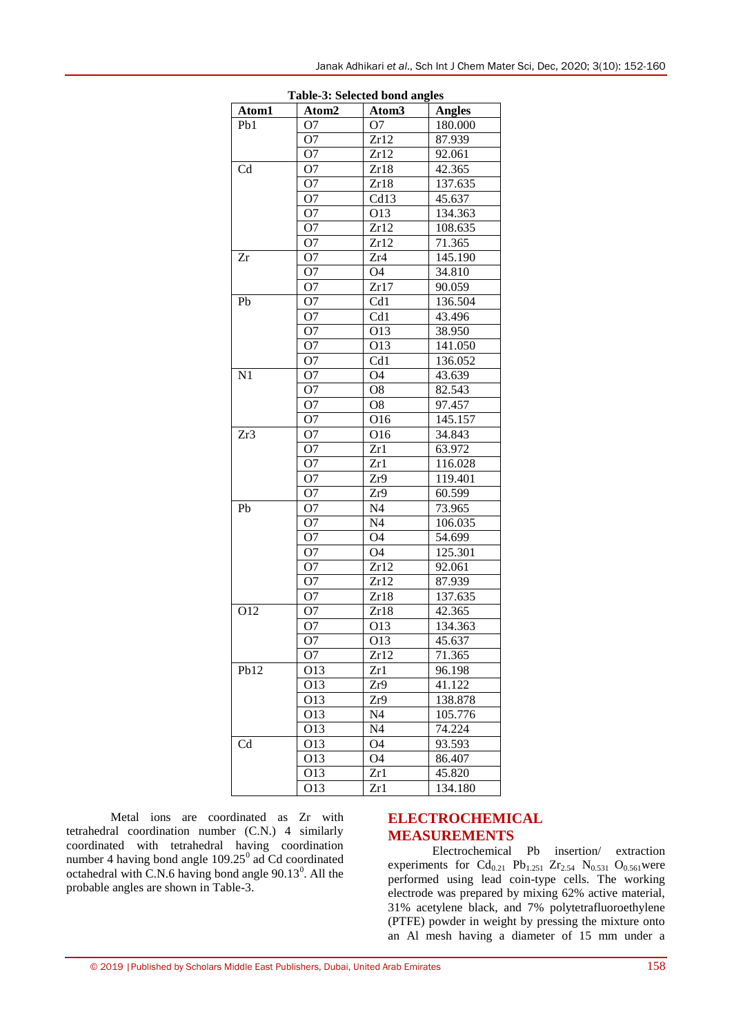|                  |                 | Table-3: Selected bond angles |               |
|------------------|-----------------|-------------------------------|---------------|
| Atom1            | Atom2           | Atom <sub>3</sub>             | <b>Angles</b> |
| Pb1              | O7              | O7                            | 180.000       |
|                  | O7              | Zr12                          | 87.939        |
|                  | O <sub>7</sub>  | Zr12                          | 92.061        |
| Cd               | O7              | Zr18                          | 42.365        |
|                  | O7              | Zr18                          | 137.635       |
|                  | O7              | Cd13                          | 45.637        |
|                  | O7              | O13                           | 134.363       |
|                  | O7              | Zr12                          | 108.635       |
|                  | O <sub>7</sub>  | Zr12                          | 71.365        |
| Zr               | O7              | Zr4                           | 145.190       |
|                  | O7              | O4                            | 34.810        |
|                  | O <sub>7</sub>  | Zr17                          | 90.059        |
| Pb               | O7              | Cd1                           | 136.504       |
|                  | O7              | Cd1                           | 43.496        |
|                  | O7              | O13                           | 38.950        |
|                  | O7              | O13                           | 141.050       |
|                  | O <sub>7</sub>  | Cd1                           | 136.052       |
| N <sub>1</sub>   | O7              | O4                            | 43.639        |
|                  | O7              | O8                            | 82.543        |
|                  | O7              | O8                            | 97.457        |
|                  | O <sub>7</sub>  | O16                           | 145.157       |
| Zr3              | O7              | 016                           | 34.843        |
|                  | O7              | Zr1                           | 63.972        |
|                  | O7              | Zr1                           | 116.028       |
|                  | O7              | Zr9                           | 119.401       |
|                  | O7              | Zr9                           | 60.599        |
| Pb               | O7              | N4                            | 73.965        |
|                  | O7              | N4                            | 106.035       |
|                  | O7              | O4                            | 54.699        |
|                  | O7              | O4                            | 125.301       |
|                  | O7              | Zr12                          | 92.061        |
|                  | O7              | Zr12                          | 87.939        |
|                  | O7              | Zr18                          | 137.635       |
| 012              | O7              | Zr18                          | 42.365        |
|                  | O7              | 013                           | 134.363       |
|                  | O7              | O13                           | 45.637        |
|                  | O <sub>7</sub>  | Zr12                          | 71.365        |
| Pb <sub>12</sub> | 013             | Zr1                           | 96.198        |
|                  | O <sub>13</sub> | Zr9                           | 41.122        |
|                  | O <sub>13</sub> | Zr9                           | 138.878       |
|                  | O <sub>13</sub> | N4                            | 105.776       |
|                  | O <sub>13</sub> | N4                            | 74.224        |
| $_{\mathrm{Cd}}$ | O <sub>13</sub> | Ο4                            | 93.593        |
|                  | O <sub>13</sub> | O4                            | 86.407        |
|                  | O <sub>13</sub> | Zr1                           | 45.820        |
|                  | 013             | Zr1                           | 134.180       |

**Table-3: Selected bond angles**

Metal ions are coordinated as Zr with tetrahedral coordination number (C.N.) 4 similarly coordinated with tetrahedral having coordination number 4 having bond angle  $109.25<sup>0</sup>$  ad Cd coordinated octahedral with C.N.6 having bond angle  $90.13^0$ . All the probable angles are shown in Table-3.

## **ELECTROCHEMICAL MEASUREMENTS**

Electrochemical Pb insertion/ extraction experiments for  $Cd_{0.21}$  Pb<sub>1.251</sub> Zr<sub>2.54</sub> N<sub>0.531</sub> O<sub>0.561</sub> were performed using lead coin-type cells. The working electrode was prepared by mixing 62% active material, 31% acetylene black, and 7% polytetrafluoroethylene (PTFE) powder in weight by pressing the mixture onto an Al mesh having a diameter of 15 mm under a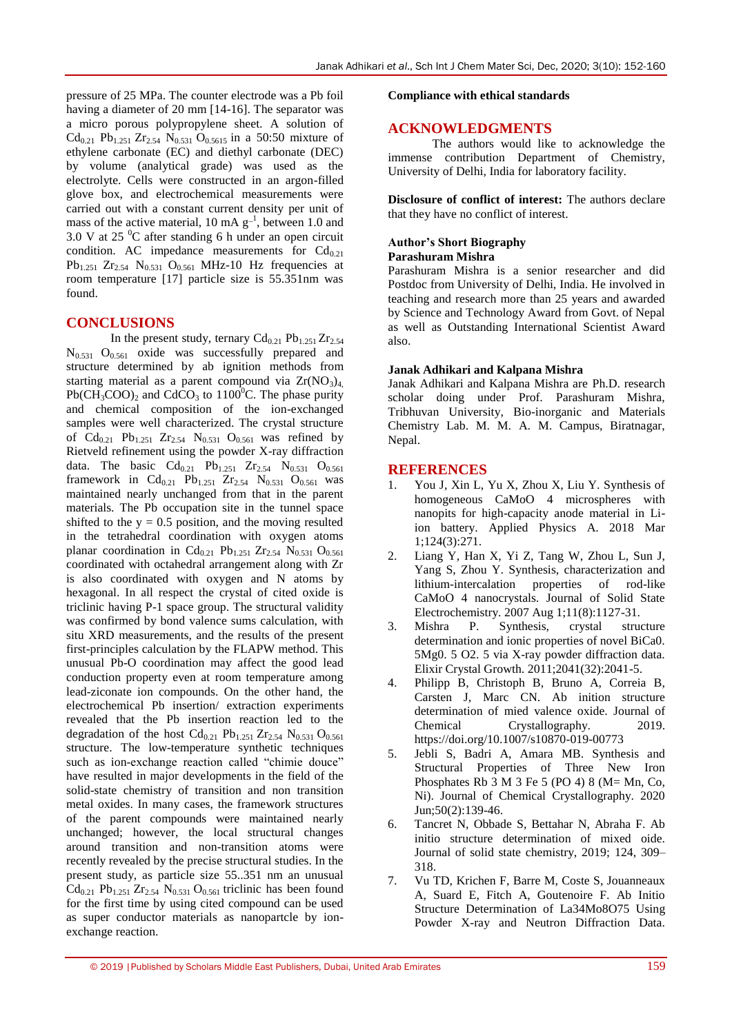pressure of 25 MPa. The counter electrode was a Pb foil having a diameter of 20 mm [14-16]. The separator was a micro porous polypropylene sheet. A solution of  $Cd_{0.21}$  Pb<sub>1.251</sub> Zr<sub>2.54</sub> N<sub>0.531</sub> O<sub>0.5615</sub> in a 50:50 mixture of ethylene carbonate (EC) and diethyl carbonate (DEC) by volume (analytical grade) was used as the electrolyte. Cells were constructed in an argon-filled glove box, and electrochemical measurements were carried out with a constant current density per unit of mass of the active material, 10 mA  $g^{-1}$ , between 1.0 and 3.0 V at 25 $\mathrm{^{0}C}$  after standing 6 h under an open circuit condition. AC impedance measurements for  $Cd_{0.21}$  $Pb_{1.251}$   $Zr_{2.54}$   $N_{0.531}$   $Q_{0.561}$  MHz-10 Hz frequencies at room temperature [17] particle size is 55.351nm was found.

#### **CONCLUSIONS**

In the present study, ternary  $Cd_{0.21}Pb_{1.251}Zr_{2.54}$  $N_{0.531}$  O<sub>0.561</sub> oxide was successfully prepared and structure determined by ab ignition methods from starting material as a parent compound via  $Zr(NO<sub>3</sub>)<sub>4</sub>$ ,  $Pb(CH_3COO)$ <sub>2</sub> and CdCO<sub>3</sub> to 1100<sup>0</sup>C. The phase purity and chemical composition of the ion-exchanged samples were well characterized. The crystal structure of  $Cd_{0.21}$  Pb<sub>1.251</sub> Zr<sub>2.54</sub> N<sub>0.531</sub> O<sub>0.561</sub> was refined by Rietveld refinement using the powder X-ray diffraction data. The basic  $Cd_{0.21}$  Pb<sub>1.251</sub> Zr<sub>2.54</sub> N<sub>0.531</sub> O<sub>0.561</sub> framework in Cd<sub>0.21</sub> Pb<sub>1.251</sub> Zr<sub>2.54</sub> N<sub>0.531</sub> O<sub>0.561</sub> was maintained nearly unchanged from that in the parent materials. The Pb occupation site in the tunnel space shifted to the  $y = 0.5$  position, and the moving resulted in the tetrahedral coordination with oxygen atoms planar coordination in  $Cd_{0.21}$  Pb<sub>1.251</sub> Zr<sub>2.54</sub> N<sub>0.531</sub> O<sub>0.561</sub> coordinated with octahedral arrangement along with Zr is also coordinated with oxygen and N atoms by hexagonal. In all respect the crystal of cited oxide is triclinic having P-1 space group. The structural validity was confirmed by bond valence sums calculation, with situ XRD measurements, and the results of the present first-principles calculation by the FLAPW method. This unusual Pb-O coordination may affect the good lead conduction property even at room temperature among lead-ziconate ion compounds. On the other hand, the electrochemical Pb insertion/ extraction experiments revealed that the Pb insertion reaction led to the degradation of the host  $Cd_{0.21}$  Pb<sub>1.251</sub> Zr<sub>2.54</sub> N<sub>0.531</sub> O<sub>0.561</sub> structure. The low-temperature synthetic techniques such as ion-exchange reaction called "chimie douce" have resulted in major developments in the field of the solid-state chemistry of transition and non transition metal oxides. In many cases, the framework structures of the parent compounds were maintained nearly unchanged; however, the local structural changes around transition and non-transition atoms were recently revealed by the precise structural studies. In the present study, as particle size 55..351 nm an unusual  $Cd_{0.21}$  Pb<sub>1.251</sub> Zr<sub>2.54</sub> N<sub>0.531</sub> O<sub>0.561</sub> triclinic has been found for the first time by using cited compound can be used as super conductor materials as nanopartcle by ionexchange reaction.

#### **Compliance with ethical standards**

#### **ACKNOWLEDGMENTS**

The authors would like to acknowledge the immense contribution Department of Chemistry, University of Delhi, India for laboratory facility.

**Disclosure of conflict of interest:** The authors declare that they have no conflict of interest.

#### **Author's Short Biography Parashuram Mishra**

Parashuram Mishra is a senior researcher and did Postdoc from University of Delhi, India. He involved in teaching and research more than 25 years and awarded by Science and Technology Award from Govt. of Nepal as well as Outstanding International Scientist Award also.

#### **Janak Adhikari and Kalpana Mishra**

Janak Adhikari and Kalpana Mishra are Ph.D. research scholar doing under Prof. Parashuram Mishra, Tribhuvan University, Bio-inorganic and Materials Chemistry Lab. M. M. A. M. Campus, Biratnagar, Nepal.

#### **REFERENCES**

- 1. You J, Xin L, Yu X, Zhou X, Liu Y. Synthesis of homogeneous CaMoO 4 microspheres with nanopits for high-capacity anode material in Liion battery. Applied Physics A. 2018 Mar 1;124(3):271.
- 2. Liang Y, Han X, Yi Z, Tang W, Zhou L, Sun J, Yang S, Zhou Y. Synthesis, characterization and lithium-intercalation properties of rod-like CaMoO 4 nanocrystals. Journal of Solid State Electrochemistry. 2007 Aug 1;11(8):1127-31.
- 3. Mishra P. Synthesis, crystal structure determination and ionic properties of novel BiCa0. 5Mg0. 5 O2. 5 via X-ray powder diffraction data. Elixir Crystal Growth. 2011;2041(32):2041-5.
- 4. Philipp B, Christoph B, Bruno A, Correia B, Carsten J, Marc CN. Ab inition structure determination of mied valence oxide. Journal of Chemical Crystallography. 2019. https://doi.org/10.1007/s10870-019-00773
- 5. Jebli S, Badri A, Amara MB. Synthesis and Structural Properties of Three New Iron Phosphates Rb 3 M 3 Fe 5 (PO 4) 8 (M= Mn, Co, Ni). Journal of Chemical Crystallography. 2020 Jun;50(2):139-46.
- 6. Tancret N, Obbade S, Bettahar N, Abraha F. Ab initio structure determination of mixed oide. Journal of solid state chemistry, 2019; 124, 309– 318.
- 7. Vu TD, Krichen F, Barre M, Coste S, Jouanneaux A, Suard E, Fitch A, Goutenoire F. Ab Initio Structure Determination of La34Mo8O75 Using Powder X-ray and Neutron Diffraction Data.